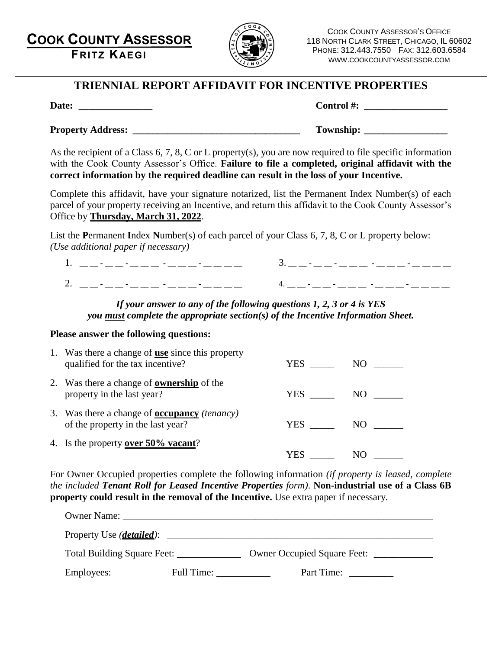# **COOK COUNTY ASSESSOR**

**FRITZ KAEGI**



COOK COUNTY ASSESSOR'S OFFICE 118 NORTH CLARK STREET, CHICAGO, IL 60602 PHONE: 312.443.7550 FAX: 312.603.6584 WWW.COOKCOUNTYASSESSOR.COM

## **TRIENNIAL REPORT AFFIDAVIT FOR INCENTIVE PROPERTIES**

# **Date: \_\_\_\_\_\_\_\_\_\_\_\_\_\_\_ Control #: \_\_\_\_\_\_\_\_\_\_\_\_\_\_\_\_\_**

**Property Address: \_\_\_\_\_\_\_\_\_\_\_\_\_\_\_\_\_\_\_\_\_\_\_\_\_\_\_\_\_\_\_\_\_\_ Township: \_\_\_\_\_\_\_\_\_\_\_\_\_\_\_\_\_**

As the recipient of a Class 6, 7, 8, C or L property(s), you are now required to file specific information with the Cook County Assessor's Office. **Failure to file a completed, original affidavit with the correct information by the required deadline can result in the loss of your Incentive.**

Complete this affidavit, have your signature notarized, list the Permanent Index Number(s) of each parcel of your property receiving an Incentive, and return this affidavit to the Cook County Assessor's Office by **Thursday, March 31, 2022**.

List the **P**ermanent **I**ndex **N**umber(s) of each parcel of your Class 6, 7, 8, C or L property below: *(Use additional paper if necessary)*

| $\sim$<br>$\sim$<br>д,                         | $\sim$ |
|------------------------------------------------|--------|
| $\sim$<br>$\overline{\phantom{a}}$<br><u>.</u> | -      |

#### *If your answer to any of the following questions 1, 2, 3 or 4 is YES you must complete the appropriate section(s) of the Incentive Information Sheet.*

#### **Please answer the following questions:**

| 1. Was there a change of <u>use</u> since this property<br>qualified for the tax incentive?       | YES | NO. |
|---------------------------------------------------------------------------------------------------|-----|-----|
| 2. Was there a change of <b>ownership</b> of the<br>property in the last year?                    | YES | NO. |
| 3. Was there a change of <b>occupancy</b> ( <i>tenancy</i> )<br>of the property in the last year? | YES | NO. |
| 4. Is the property over $50\%$ vacant?                                                            | YES | N() |

For Owner Occupied properties complete the following information *(if property is leased, complete the included Tenant Roll for Leased Incentive Properties form)*. **Non-industrial use of a Class 6B property could result in the removal of the Incentive.** Use extra paper if necessary.

| Property Use <i>(detailed)</i> :         |            |                                       |  |
|------------------------------------------|------------|---------------------------------------|--|
| Total Building Square Feet: ____________ |            | Owner Occupied Square Feet: _________ |  |
| Employees:                               | Full Time: | Part Time:                            |  |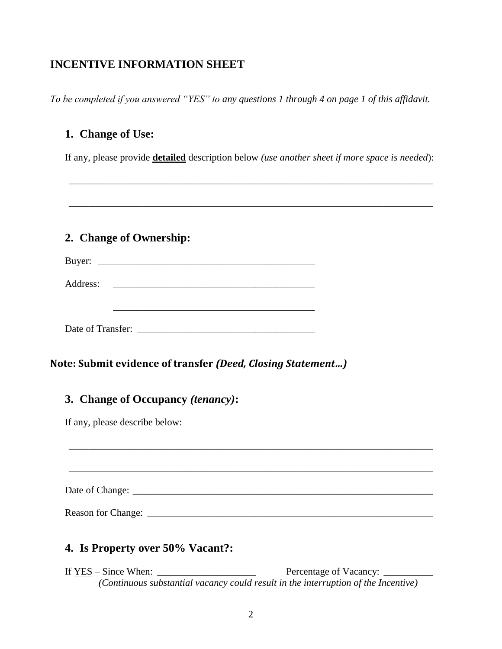## **INCENTIVE INFORMATION SHEET**

*To be completed if you answered "YES" to any questions 1 through 4 on page 1 of this affidavit.*

## **1. Change of Use:**

If any, please provide **detailed** description below *(use another sheet if more space is needed*):

\_\_\_\_\_\_\_\_\_\_\_\_\_\_\_\_\_\_\_\_\_\_\_\_\_\_\_\_\_\_\_\_\_\_\_\_\_\_\_\_\_\_\_\_\_\_\_\_\_\_\_\_\_\_\_\_\_\_\_\_\_\_\_\_\_\_\_\_\_\_\_\_\_\_

\_\_\_\_\_\_\_\_\_\_\_\_\_\_\_\_\_\_\_\_\_\_\_\_\_\_\_\_\_\_\_\_\_\_\_\_\_\_\_\_\_\_\_\_\_\_\_\_\_\_\_\_\_\_\_\_\_\_\_\_\_\_\_\_\_\_\_\_\_\_\_\_\_\_

### **2. Change of Ownership:**

| Buyer: |  |
|--------|--|
|        |  |

Address:

Date of Transfer: \_\_\_\_\_\_\_\_\_\_\_\_\_\_\_\_\_\_\_\_\_\_\_\_\_\_\_\_\_\_\_\_\_\_\_\_

### **Note: Submit evidence of transfer** *(Deed, Closing Statement…)*

### **3. Change of Occupancy** *(tenancy)***:**

If any, please describe below:

Date of Change: \_\_\_\_\_\_\_\_\_\_\_\_\_\_\_\_\_\_\_\_\_\_\_\_\_\_\_\_\_\_\_\_\_\_\_\_\_\_\_\_\_\_\_\_\_\_\_\_\_\_\_\_\_\_\_\_\_\_\_\_\_

\_\_\_\_\_\_\_\_\_\_\_\_\_\_\_\_\_\_\_\_\_\_\_\_\_\_\_\_\_\_\_\_\_\_\_\_\_\_\_\_\_\_\_\_\_\_\_\_\_\_\_\_\_\_\_\_\_\_\_\_\_\_\_\_\_\_\_\_\_\_\_\_\_\_

\_\_\_\_\_\_\_\_\_\_\_\_\_\_\_\_\_\_\_\_\_\_\_\_\_\_\_\_\_\_\_\_\_\_\_\_\_\_\_\_\_\_\_\_\_\_\_\_\_\_\_\_\_\_\_\_\_\_\_\_\_\_\_\_\_\_\_\_\_\_\_\_\_\_

Reason for Change: \_\_\_\_\_\_\_\_\_\_\_\_\_\_\_\_\_\_\_\_\_\_\_\_\_\_\_\_\_\_\_\_\_\_\_\_\_\_\_\_\_\_\_\_\_\_\_\_\_\_\_\_\_\_\_\_\_\_

### **4. Is Property over 50% Vacant?:**

If YES – Since When: \_\_\_\_\_\_\_\_\_\_\_\_\_\_\_\_\_\_\_\_ Percentage of Vacancy: \_\_\_\_\_\_\_\_\_\_ *(Continuous substantial vacancy could result in the interruption of the Incentive)*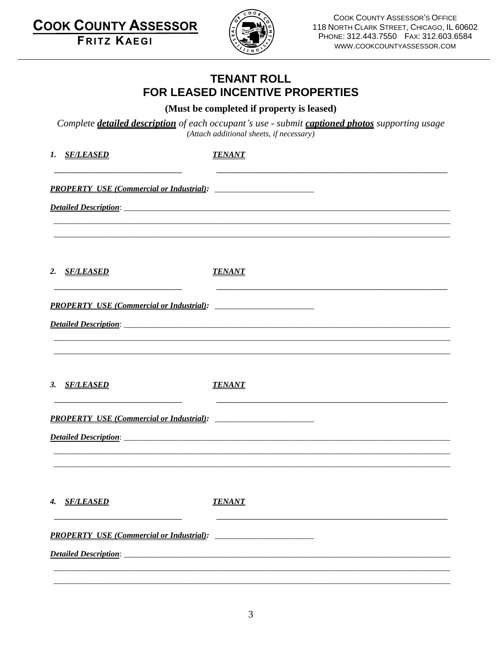



**COOK COUNTY ASSESSOR'S OFFICE** 118 NORTH CLARK STREET, CHICAGO, IL 60602 PHONE: 312.443.7550 FAX: 312.603.6584 WWW.COOKCOUNTYASSESSOR.COM

# **TENANT ROLL** FOR LEASED INCENTIVE PROPERTIES

(Must be completed if property is leased)

Complete **detailed description** of each occupant's use - submit **captioned photos** supporting usage  $(Attach additional sheets, if necessary)$ 

| 1. SF/LEASED                                    | <b>TENANT</b> |
|-------------------------------------------------|---------------|
|                                                 |               |
|                                                 |               |
|                                                 |               |
| 2. SF/LEASED                                    | <b>TENANT</b> |
| <b>PROPERTY_USE (Commercial or Industrial):</b> |               |
|                                                 |               |
|                                                 |               |
| 3. SF/LEASED                                    | <b>TENANT</b> |
|                                                 |               |
|                                                 |               |
|                                                 |               |
| 4. SF/LEASED                                    | <b>TENANT</b> |
| <b>PROPERTY USE (Commercial or Industrial):</b> |               |
|                                                 |               |
|                                                 |               |